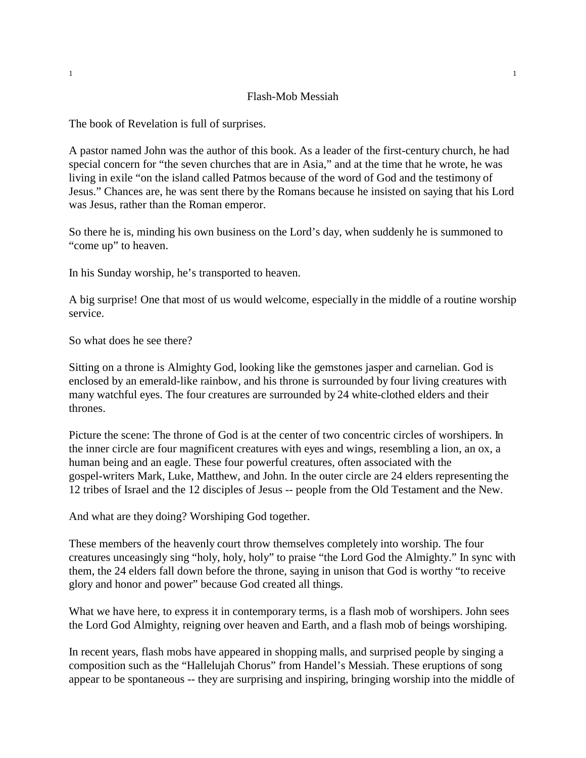## Flash-Mob Messiah

The book of Revelation is full of surprises.

A pastor named John was the author of this book. As a leader of the first-century church, he had special concern for "the seven churches that are in Asia," and at the time that he wrote, he was living in exile "on the island called Patmos because of the word of God and the testimony of Jesus." Chances are, he was sent there by the Romans because he insisted on saying that his Lord was Jesus, rather than the Roman emperor.

So there he is, minding his own business on the Lord's day, when suddenly he is summoned to "come up" to heaven.

In his Sunday worship, he's transported to heaven.

A big surprise! One that most of us would welcome, especially in the middle of a routine worship service.

So what does he see there?

Sitting on a throne is Almighty God, looking like the gemstones jasper and carnelian. God is enclosed by an emerald-like rainbow, and his throne is surrounded by four living creatures with many watchful eyes. The four creatures are surrounded by 24 white-clothed elders and their thrones.

Picture the scene: The throne of God is at the center of two concentric circles of worshipers. In the inner circle are four magnificent creatures with eyes and wings, resembling a lion, an ox, a human being and an eagle. These four powerful creatures, often associated with the gospel-writers Mark, Luke, Matthew, and John. In the outer circle are 24 elders representing the 12 tribes of Israel and the 12 disciples of Jesus -- people from the Old Testament and the New.

And what are they doing? Worshiping God together.

These members of the heavenly court throw themselves completely into worship. The four creatures unceasingly sing "holy, holy, holy" to praise "the Lord God the Almighty." In sync with them, the 24 elders fall down before the throne, saying in unison that God is worthy "to receive glory and honor and power" because God created all things.

What we have here, to express it in contemporary terms, is a flash mob of worshipers. John sees the Lord God Almighty, reigning over heaven and Earth, and a flash mob of beings worshiping.

In recent years, flash mobs have appeared in shopping malls, and surprised people by singing a composition such as the "Hallelujah Chorus" from Handel's Messiah. These eruptions of song appear to be spontaneous -- they are surprising and inspiring, bringing worship into the middle of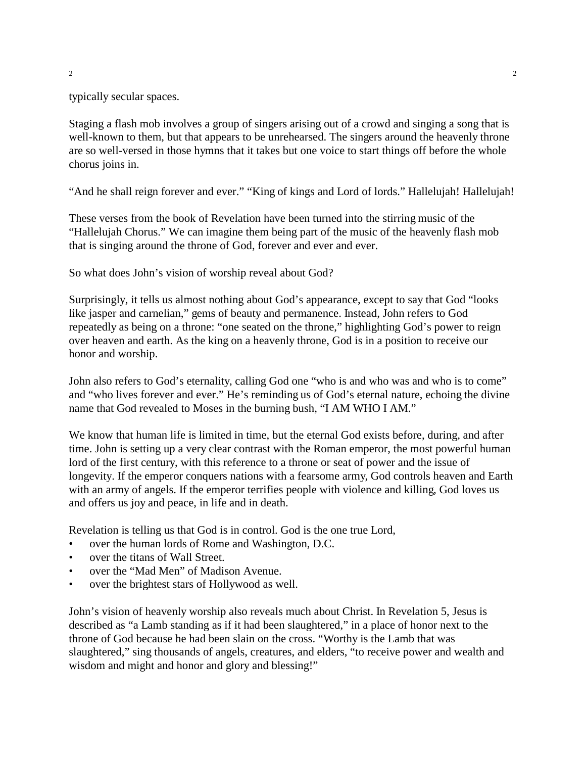typically secular spaces.

Staging a flash mob involves a group of singers arising out of a crowd and singing a song that is well-known to them, but that appears to be unrehearsed. The singers around the heavenly throne are so well-versed in those hymns that it takes but one voice to start things off before the whole chorus joins in.

"And he shall reign forever and ever." "King of kings and Lord of lords." Hallelujah! Hallelujah!

These verses from the book of Revelation have been turned into the stirring music of the "Hallelujah Chorus." We can imagine them being part of the music of the heavenly flash mob that is singing around the throne of God, forever and ever and ever.

So what does John's vision of worship reveal about God?

Surprisingly, it tells us almost nothing about God's appearance, except to say that God "looks like jasper and carnelian," gems of beauty and permanence. Instead, John refers to God repeatedly as being on a throne: "one seated on the throne," highlighting God's power to reign over heaven and earth. As the king on a heavenly throne, God is in a position to receive our honor and worship.

John also refers to God's eternality, calling God one "who is and who was and who is to come" and "who lives forever and ever." He's reminding us of God's eternal nature, echoing the divine name that God revealed to Moses in the burning bush, "I AM WHO I AM."

We know that human life is limited in time, but the eternal God exists before, during, and after time. John is setting up a very clear contrast with the Roman emperor, the most powerful human lord of the first century, with this reference to a throne or seat of power and the issue of longevity. If the emperor conquers nations with a fearsome army, God controls heaven and Earth with an army of angels. If the emperor terrifies people with violence and killing, God loves us and offers us joy and peace, in life and in death.

Revelation is telling us that God is in control. God is the one true Lord,

- over the human lords of Rome and Washington, D.C.
- over the titans of Wall Street.
- over the "Mad Men" of Madison Avenue.
- over the brightest stars of Hollywood as well.

John's vision of heavenly worship also reveals much about Christ. In Revelation 5, Jesus is described as "a Lamb standing as if it had been slaughtered," in a place of honor next to the throne of God because he had been slain on the cross. "Worthy is the Lamb that was slaughtered," sing thousands of angels, creatures, and elders, "to receive power and wealth and wisdom and might and honor and glory and blessing!"